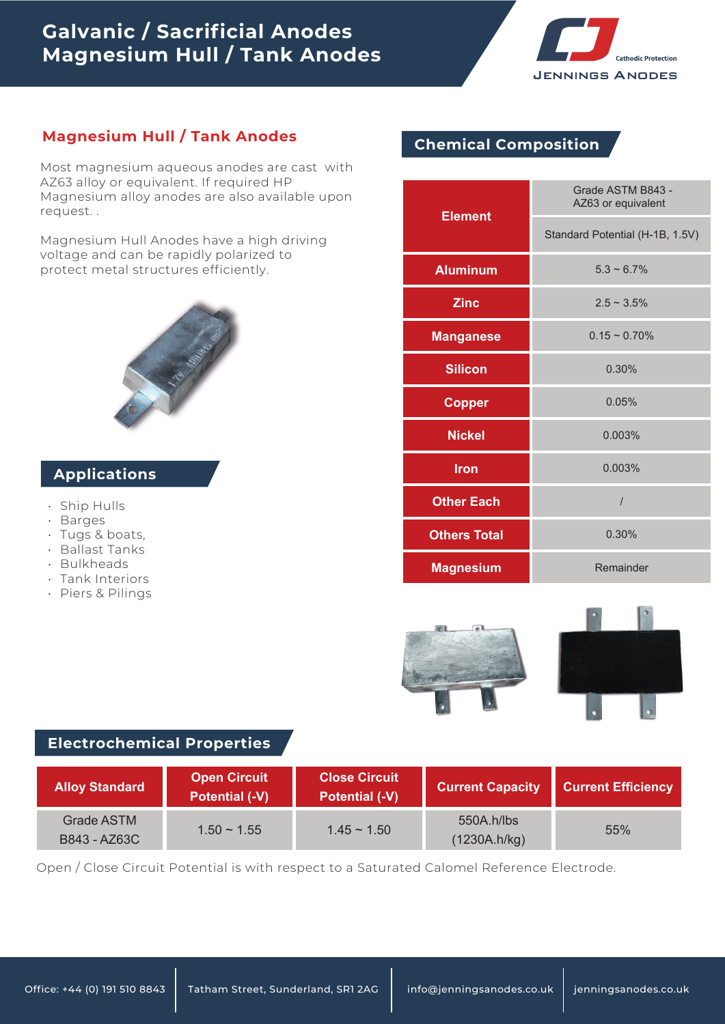# **Galvanic / Sacrificial Anodes Magnesium Hull / Tank Anodes**



# **Magnesium Hull / Tank Anodes Chemical Composition**

Most magnesium aqueous anodes are cast with AZ63 alloy or equivalent. If required HP Magnesium alloy anodes are also available upon request. .

Magnesium Hull Anodes have a high driving voltage and can be rapidly polarized to protect metal structures efficiently.

## **Applications**

- Ship Hulls
- Barges
- Tugs & boats, •
- Ballast Tanks
- Bulkheads •
- Tank Interiors •
- Piers & Pilings

| <b>Element</b>      | Grade ASTM B843 -<br>AZ63 or equivalent |  |
|---------------------|-----------------------------------------|--|
|                     | Standard Potential (H-1B, 1.5V)         |  |
| <b>Aluminum</b>     | $5.3 \sim 6.7\%$                        |  |
| <b>Zinc</b>         | $2.5 - 3.5\%$                           |  |
| <b>Manganese</b>    | $0.15 \sim 0.70\%$                      |  |
| <b>Silicon</b>      | 0.30%                                   |  |
| <b>Copper</b>       | 0.05%                                   |  |
| <b>Nickel</b>       | 0.003%                                  |  |
| <b>Iron</b>         | 0.003%                                  |  |
| <b>Other Each</b>   | $\overline{I}$                          |  |
| <b>Others Total</b> | 0.30%                                   |  |
| <b>Magnesium</b>    | Remainder                               |  |



## **Electrochemical Properties**

| <b>Alloy Standard</b>      | <b>Open Circuit</b><br><b>Potential (-V)</b> | <b>Close Circuit</b><br><b>Potential (-V)</b> | <b>Current Capacity</b>    | <b>Current Efficiency</b> |
|----------------------------|----------------------------------------------|-----------------------------------------------|----------------------------|---------------------------|
| Grade ASTM<br>B843 - AZ63C | $1.50 \sim 1.55$                             | $1.45 \sim 1.50$                              | 550A.h/lbs<br>(1230A.h/kg) | 55%                       |

Open / Close Circuit Potential is with respect to a Saturated Calomel Reference Electrode.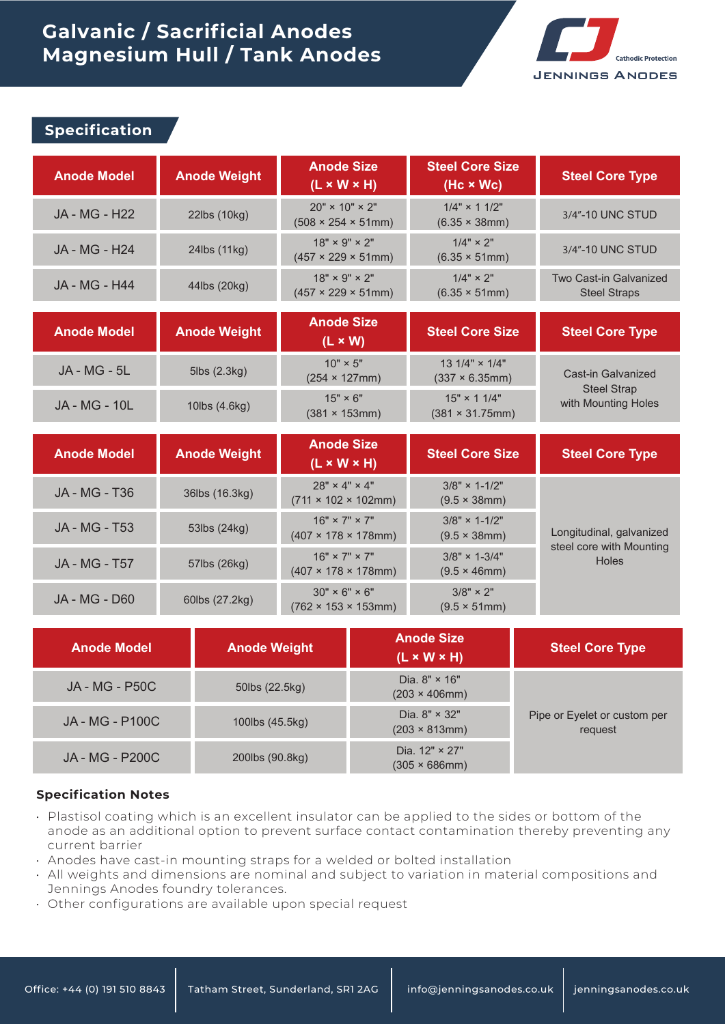# **Galvanic / Sacrificial Anodes Magnesium Hull / Tank Anodes**



### **Specification**

| <b>Anode Model</b>   | <b>Anode Weight</b> | <b>Anode Size</b><br>$(L \times W \times H)$                      | <b>Steel Core Size</b><br>$(Hc \times Wc)$     | <b>Steel Core Type</b>                        |
|----------------------|---------------------|-------------------------------------------------------------------|------------------------------------------------|-----------------------------------------------|
| <b>JA - MG - H22</b> | 22lbs (10kg)        | $20" \times 10" \times 2"$<br>$(508 \times 254 \times 51$ mm)     | $1/4" \times 11/2"$<br>$(6.35 \times 38)$ mm)  | 3/4"-10 UNC STUD                              |
| JA - MG - H24        | 24lbs (11kg)        | $18" \times 9" \times 2"$<br>$(457 \times 229 \times 51$ mm)      | $1/4" \times 2"$<br>$(6.35 \times 51$ mm)      | 3/4"-10 UNC STUD                              |
| <b>JA - MG - H44</b> | 44lbs (20kg)        | $18" \times 9" \times 2"$<br>$(457 \times 229 \times 51$ mm)      | $1/4" \times 2"$<br>$(6.35 \times 51$ mm)      | Two Cast-in Galvanized<br><b>Steel Straps</b> |
| <b>Anode Model</b>   | <b>Anode Weight</b> | <b>Anode Size</b><br>$(L \times W)$                               | <b>Steel Core Size</b>                         | <b>Steel Core Type</b>                        |
| <b>JA - MG - 5L</b>  | 5lbs (2.3kg)        | $10" \times 5"$<br>$(254 \times 127$ mm)                          | 13 $1/4$ " $\times$ $1/4$ "<br>(337 × 6.35mm)  | Cast-in Galvanized                            |
| <b>JA - MG - 10L</b> | 10lbs (4.6kg)       | $15" \times 6"$<br>$(381 \times 153$ mm)                          | $15" \times 11/4"$<br>$(381 \times 31.75$ mm)  | <b>Steel Strap</b><br>with Mounting Holes     |
|                      |                     | <b>Anode Size</b>                                                 |                                                |                                               |
| <b>Anode Model</b>   | <b>Anode Weight</b> | $(L \times W \times H)$                                           | <b>Steel Core Size</b>                         | <b>Steel Core Type</b>                        |
| <b>JA - MG - T36</b> | 36lbs (16.3kg)      | $28" \times 4" \times 4"$<br>$(711 \times 102 \times 102$ mm)     | $3/8" \times 1 - 1/2"$<br>(9.5 × 38mm)         |                                               |
| <b>JA - MG - T53</b> | 53lbs (24kg)        | $16" \times 7" \times 7"$<br>$(407 \times 178 \times 178)$ mm)    | $3/8" \times 1 - 1/2"$<br>$(9.5 \times 38$ mm) | Longitudinal, galvanized                      |
| <b>JA - MG - T57</b> | 57lbs (26kg)        | $16" \times 7" \times 7"$<br>$(407 \times 178 \times 178)$ mm)    | $3/8" \times 1-3/4"$<br>(9.5 × 46mm)           | steel core with Mounting<br>Holes             |
| <b>JA - MG - D60</b> | 60lbs (27.2kg)      | $30'' \times 6'' \times 6''$<br>$(762 \times 153 \times 153)$ mm) | $3/8" \times 2"$<br>$(9.5 \times 51$ mm)       |                                               |

| <b>Anode Model</b>     | <b>Anode Weight</b> | <b>Anode Size</b><br>$(L \times W \times H)$    | <b>Steel Core Type</b>                  |
|------------------------|---------------------|-------------------------------------------------|-----------------------------------------|
| JA - MG - P50C         | 50lbs (22.5kg)      | Dia. $8" \times 16"$<br>$(203 \times 406$ mm)   |                                         |
| <b>JA - MG - P100C</b> | 100lbs (45.5kg)     | Dia. $8'' \times 32''$<br>$(203 \times 813$ mm) | Pipe or Eyelet or custom per<br>request |
| <b>JA - MG - P200C</b> | 200lbs (90.8kg)     | Dia. $12" \times 27"$<br>$(305 \times 686$ mm)  |                                         |

#### **Specification Notes**

- $\cdot$  Plastisol coating which is an excellent insulator can be applied to the sides or bottom of the anode as an additional option to prevent surface contact contamination thereby preventing any current barrier
- $\cdot$  Anodes have cast-in mounting straps for a welded or bolted installation
- $\,\cdot\,$  All weights and dimensions are nominal and subject to variation in material compositions and Jennings Anodes foundry tolerances.
- Other configurations are available upon special request •